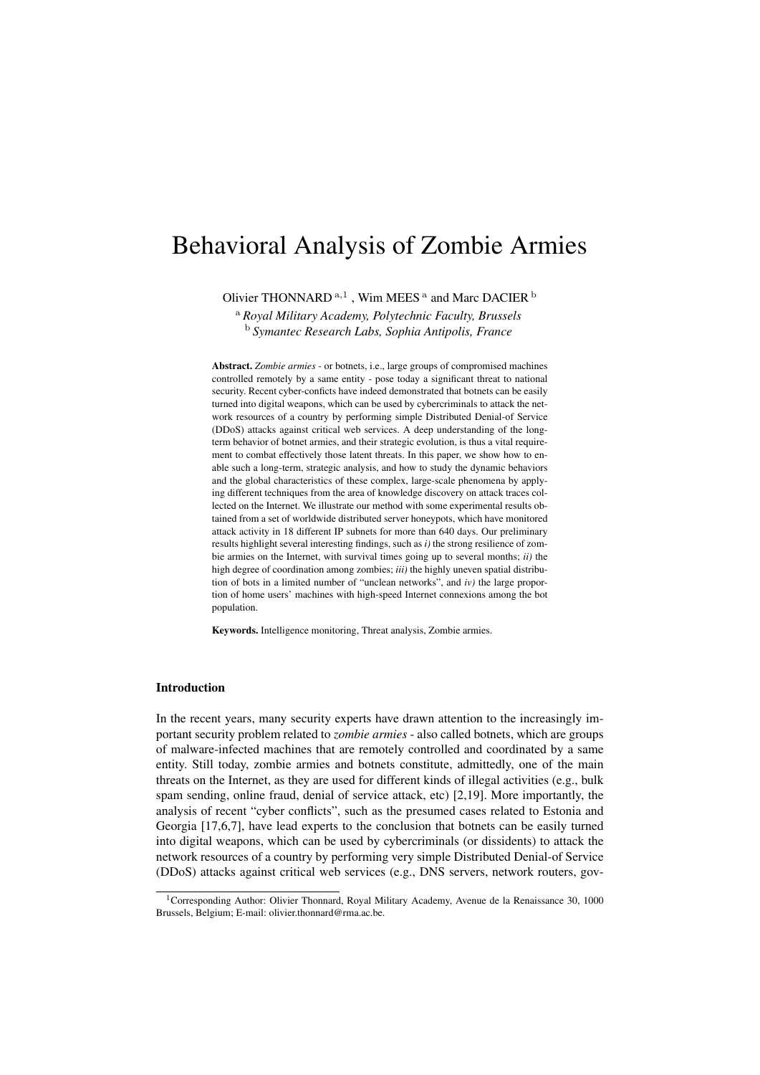# Behavioral Analysis of Zombie Armies

Olivier THONNARD<sup>a,1</sup>, Wim MEES<sup>a</sup> and Marc DACIER<sup>b</sup>

<sup>a</sup> *Royal Military Academy, Polytechnic Faculty, Brussels* <sup>b</sup> *Symantec Research Labs, Sophia Antipolis, France*

Abstract. *Zombie armies* - or botnets, i.e., large groups of compromised machines controlled remotely by a same entity - pose today a significant threat to national security. Recent cyber-conficts have indeed demonstrated that botnets can be easily turned into digital weapons, which can be used by cybercriminals to attack the network resources of a country by performing simple Distributed Denial-of Service (DDoS) attacks against critical web services. A deep understanding of the longterm behavior of botnet armies, and their strategic evolution, is thus a vital requirement to combat effectively those latent threats. In this paper, we show how to enable such a long-term, strategic analysis, and how to study the dynamic behaviors and the global characteristics of these complex, large-scale phenomena by applying different techniques from the area of knowledge discovery on attack traces collected on the Internet. We illustrate our method with some experimental results obtained from a set of worldwide distributed server honeypots, which have monitored attack activity in 18 different IP subnets for more than 640 days. Our preliminary results highlight several interesting findings, such as *i)* the strong resilience of zombie armies on the Internet, with survival times going up to several months; *ii)* the high degree of coordination among zombies; *iii)* the highly uneven spatial distribution of bots in a limited number of "unclean networks", and *iv)* the large proportion of home users' machines with high-speed Internet connexions among the bot population.

Keywords. Intelligence monitoring, Threat analysis, Zombie armies.

## Introduction

In the recent years, many security experts have drawn attention to the increasingly important security problem related to *zombie armies* - also called botnets, which are groups of malware-infected machines that are remotely controlled and coordinated by a same entity. Still today, zombie armies and botnets constitute, admittedly, one of the main threats on the Internet, as they are used for different kinds of illegal activities (e.g., bulk spam sending, online fraud, denial of service attack, etc) [2,19]. More importantly, the analysis of recent "cyber conflicts", such as the presumed cases related to Estonia and Georgia [17,6,7], have lead experts to the conclusion that botnets can be easily turned into digital weapons, which can be used by cybercriminals (or dissidents) to attack the network resources of a country by performing very simple Distributed Denial-of Service (DDoS) attacks against critical web services (e.g., DNS servers, network routers, gov-

<sup>&</sup>lt;sup>1</sup>Corresponding Author: Olivier Thonnard, Royal Military Academy, Avenue de la Renaissance 30, 1000 Brussels, Belgium; E-mail: olivier.thonnard@rma.ac.be.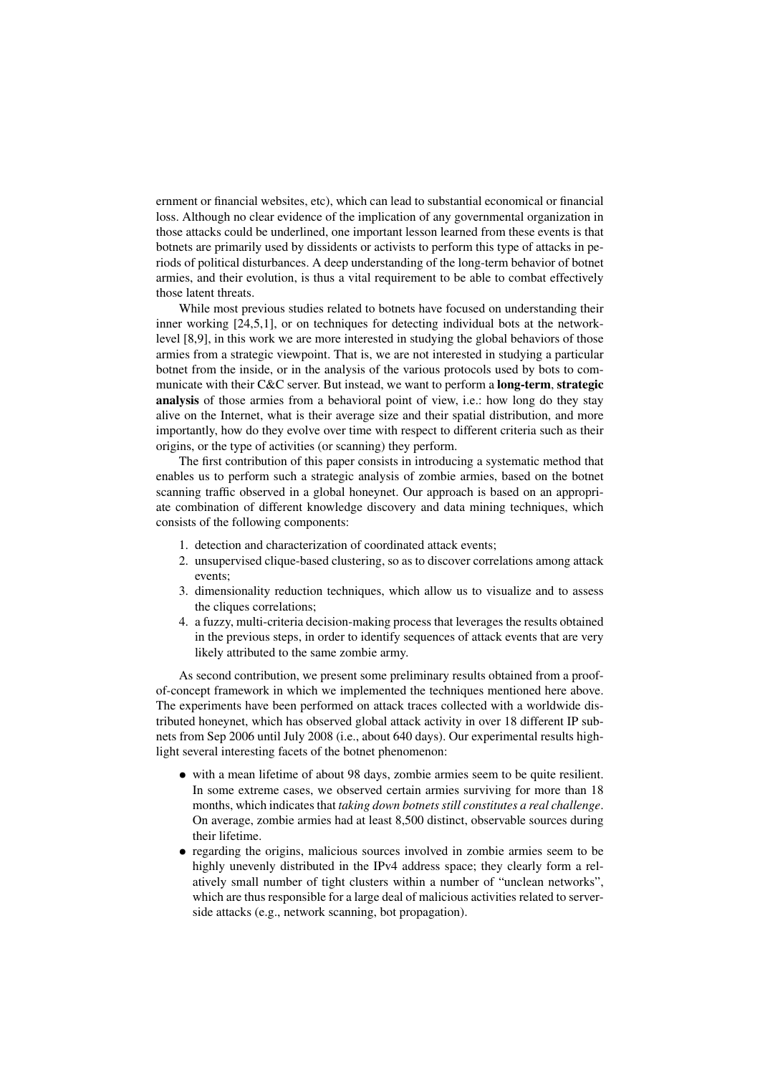ernment or financial websites, etc), which can lead to substantial economical or financial loss. Although no clear evidence of the implication of any governmental organization in those attacks could be underlined, one important lesson learned from these events is that botnets are primarily used by dissidents or activists to perform this type of attacks in periods of political disturbances. A deep understanding of the long-term behavior of botnet armies, and their evolution, is thus a vital requirement to be able to combat effectively those latent threats.

While most previous studies related to botnets have focused on understanding their inner working [24,5,1], or on techniques for detecting individual bots at the networklevel [8,9], in this work we are more interested in studying the global behaviors of those armies from a strategic viewpoint. That is, we are not interested in studying a particular botnet from the inside, or in the analysis of the various protocols used by bots to communicate with their C&C server. But instead, we want to perform a long-term, strategic analysis of those armies from a behavioral point of view, i.e.: how long do they stay alive on the Internet, what is their average size and their spatial distribution, and more importantly, how do they evolve over time with respect to different criteria such as their origins, or the type of activities (or scanning) they perform.

The first contribution of this paper consists in introducing a systematic method that enables us to perform such a strategic analysis of zombie armies, based on the botnet scanning traffic observed in a global honeynet. Our approach is based on an appropriate combination of different knowledge discovery and data mining techniques, which consists of the following components:

- 1. detection and characterization of coordinated attack events;
- 2. unsupervised clique-based clustering, so as to discover correlations among attack events;
- 3. dimensionality reduction techniques, which allow us to visualize and to assess the cliques correlations;
- 4. a fuzzy, multi-criteria decision-making process that leverages the results obtained in the previous steps, in order to identify sequences of attack events that are very likely attributed to the same zombie army.

As second contribution, we present some preliminary results obtained from a proofof-concept framework in which we implemented the techniques mentioned here above. The experiments have been performed on attack traces collected with a worldwide distributed honeynet, which has observed global attack activity in over 18 different IP subnets from Sep 2006 until July 2008 (i.e., about 640 days). Our experimental results highlight several interesting facets of the botnet phenomenon:

- with a mean lifetime of about 98 days, zombie armies seem to be quite resilient. In some extreme cases, we observed certain armies surviving for more than 18 months, which indicates that *taking down botnets still constitutes a real challenge*. On average, zombie armies had at least 8,500 distinct, observable sources during their lifetime.
- regarding the origins, malicious sources involved in zombie armies seem to be highly unevenly distributed in the IPv4 address space; they clearly form a relatively small number of tight clusters within a number of "unclean networks", which are thus responsible for a large deal of malicious activities related to serverside attacks (e.g., network scanning, bot propagation).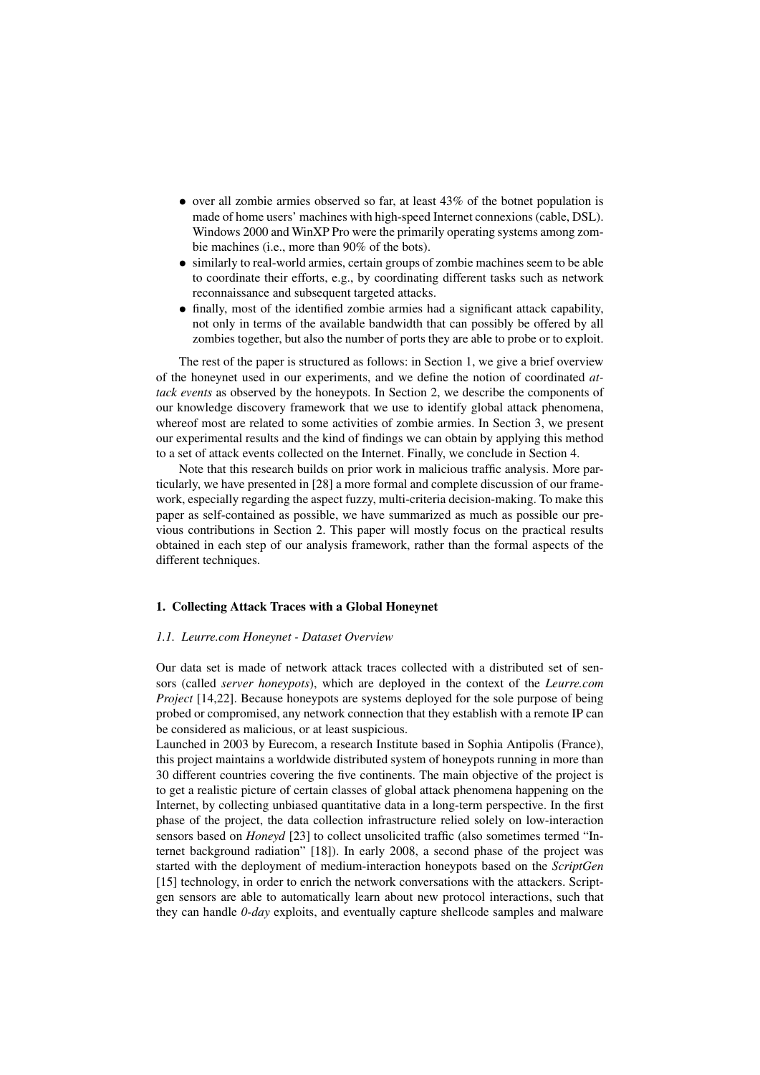- over all zombie armies observed so far, at least 43% of the botnet population is made of home users' machines with high-speed Internet connexions (cable, DSL). Windows 2000 and WinXP Pro were the primarily operating systems among zombie machines (i.e., more than 90% of the bots).
- similarly to real-world armies, certain groups of zombie machines seem to be able to coordinate their efforts, e.g., by coordinating different tasks such as network reconnaissance and subsequent targeted attacks.
- finally, most of the identified zombie armies had a significant attack capability, not only in terms of the available bandwidth that can possibly be offered by all zombies together, but also the number of ports they are able to probe or to exploit.

The rest of the paper is structured as follows: in Section 1, we give a brief overview of the honeynet used in our experiments, and we define the notion of coordinated *attack events* as observed by the honeypots. In Section 2, we describe the components of our knowledge discovery framework that we use to identify global attack phenomena, whereof most are related to some activities of zombie armies. In Section 3, we present our experimental results and the kind of findings we can obtain by applying this method to a set of attack events collected on the Internet. Finally, we conclude in Section 4.

Note that this research builds on prior work in malicious traffic analysis. More particularly, we have presented in [28] a more formal and complete discussion of our framework, especially regarding the aspect fuzzy, multi-criteria decision-making. To make this paper as self-contained as possible, we have summarized as much as possible our previous contributions in Section 2. This paper will mostly focus on the practical results obtained in each step of our analysis framework, rather than the formal aspects of the different techniques.

## 1. Collecting Attack Traces with a Global Honeynet

#### *1.1. Leurre.com Honeynet - Dataset Overview*

Our data set is made of network attack traces collected with a distributed set of sensors (called *server honeypots*), which are deployed in the context of the *Leurre.com Project* [14,22]. Because honeypots are systems deployed for the sole purpose of being probed or compromised, any network connection that they establish with a remote IP can be considered as malicious, or at least suspicious.

Launched in 2003 by Eurecom, a research Institute based in Sophia Antipolis (France), this project maintains a worldwide distributed system of honeypots running in more than 30 different countries covering the five continents. The main objective of the project is to get a realistic picture of certain classes of global attack phenomena happening on the Internet, by collecting unbiased quantitative data in a long-term perspective. In the first phase of the project, the data collection infrastructure relied solely on low-interaction sensors based on *Honeyd* [23] to collect unsolicited traffic (also sometimes termed "Internet background radiation" [18]). In early 2008, a second phase of the project was started with the deployment of medium-interaction honeypots based on the *ScriptGen* [15] technology, in order to enrich the network conversations with the attackers. Scriptgen sensors are able to automatically learn about new protocol interactions, such that they can handle *0-day* exploits, and eventually capture shellcode samples and malware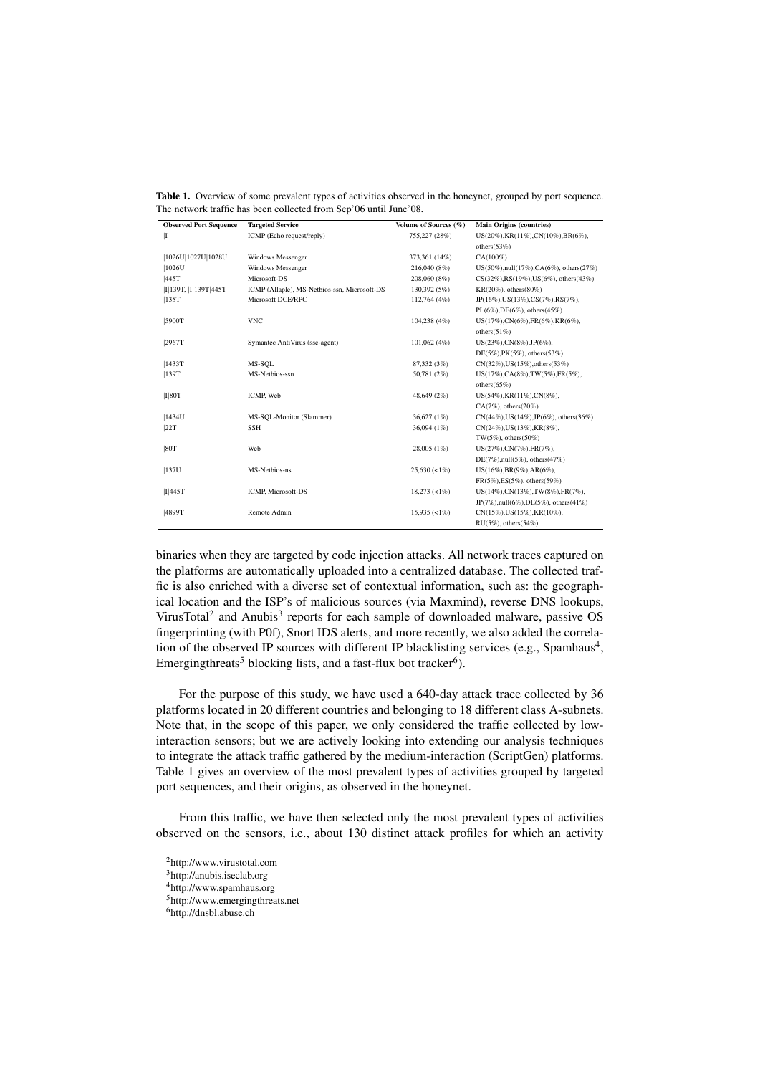Table 1. Overview of some prevalent types of activities observed in the honeynet, grouped by port sequence. The network traffic has been collected from Sep'06 until June'08.

| <b>Observed Port Sequence</b> | <b>Targeted Service</b>                      | Volume of Sources (%) | <b>Main Origins (countries)</b>                         |
|-------------------------------|----------------------------------------------|-----------------------|---------------------------------------------------------|
| I                             | ICMP (Echo request/reply)                    | 755,227 (28%)         | US(20%), KR(11%), CN(10%), BR(6%),                      |
|                               |                                              |                       | others $(53%)$                                          |
| 1026U 1027U 1028U             | Windows Messenger                            | 373,361 (14%)         | CA(100%)                                                |
| $ 1026$ U                     | Windows Messenger                            | 216,040 (8%)          | US(50%), null(17%), CA(6%), others(27%)                 |
| 445T                          | Microsoft-DS                                 | 208,060 (8%)          | $CS(32\%)$ , RS $(19\%)$ , US $(6\%)$ , others $(43\%)$ |
| I 139T,  I 139T 445T          | ICMP (Allaple), MS-Netbios-ssn, Microsoft-DS | 130,392 (5%)          | $KR(20\%)$ , others $(80\%)$                            |
| 135T                          | Microsoft DCE/RPC                            | 112,764 (4%)          | JP(16%), US(13%), CS(7%), RS(7%),                       |
|                               |                                              |                       | $PL(6\%)$ , DE $(6\%)$ , others $(45\%)$                |
| 5900T                         | <b>VNC</b>                                   | 104,238 (4%)          | $US(17\%)$ , $CN(6\%)$ , $FR(6\%)$ , $KR(6\%)$ ,        |
|                               |                                              |                       | others $(51%)$                                          |
| 2967T                         | Symantec AntiVirus (ssc-agent)               | 101.062 (4%)          | US(23%), CN(8%), JP(6%),                                |
|                               |                                              |                       | $DE(5\%)$ , $PK(5\%)$ , others (53%)                    |
| 1433T                         | MS-SOL                                       | 87,332 (3%)           | $CN(32\%)$ , US $(15\%)$ , others $(53\%)$              |
| 139T                          | MS-Netbios-ssn                               | 50,781 (2%)           | US(17%),CA(8%),TW(5%),FR(5%),                           |
|                               |                                              |                       | others $(65%)$                                          |
| $ I $ 80T                     | ICMP, Web                                    | 48,649 (2%)           | US(54%), KR(11%), CN(8%),                               |
|                               |                                              |                       | $CA(7\%)$ , others $(20\%)$                             |
| 1434U                         | MS-SQL-Monitor (Slammer)                     | 36,627 (1%)           | $CN(44\%)$ , $US(14\%)$ , $JP(6\%)$ , others (36%)      |
| 22T                           | <b>SSH</b>                                   | 36,094 (1%)           | $CN(24\%)$ , US $(13\%)$ , KR $(8\%)$ ,                 |
|                               |                                              |                       | TW $(5\%)$ , others $(50\%)$                            |
| 80T                           | Web                                          | 28,005 (1%)           | US(27%), CN(7%), FR(7%),                                |
|                               |                                              |                       | $DE(7\%)$ , null $(5\%)$ , others $(47\%)$              |
| 137U                          | MS-Netbios-ns                                | $25,630 (< 1\%)$      | US(16%), BR(9%), AR(6%),                                |
|                               |                                              |                       | $FR(5\%)$ , $ES(5\%)$ , others(59%)                     |
| $ I $ 445T                    | ICMP, Microsoft-DS                           | $18,273$ (<1%)        | US(14%),CN(13%),TW(8%),FR(7%),                          |
|                               |                                              |                       | $JP(7\%)$ , null $(6\%)$ , DE $(5\%)$ , others $(41\%)$ |
| 4899T                         | Remote Admin                                 | $15,935 \; (<1\%)$    | CN(15%), US(15%), KR(10%),                              |
|                               |                                              |                       | $RU(5\%)$ , others $(54\%)$                             |

binaries when they are targeted by code injection attacks. All network traces captured on the platforms are automatically uploaded into a centralized database. The collected traffic is also enriched with a diverse set of contextual information, such as: the geographical location and the ISP's of malicious sources (via Maxmind), reverse DNS lookups, VirusTotal<sup>2</sup> and Anubis<sup>3</sup> reports for each sample of downloaded malware, passive OS fingerprinting (with P0f), Snort IDS alerts, and more recently, we also added the correlation of the observed IP sources with different IP blacklisting services (e.g., Spamhaus<sup>4</sup>, Emergingthreats<sup>5</sup> blocking lists, and a fast-flux bot tracker<sup>6</sup>).

For the purpose of this study, we have used a 640-day attack trace collected by 36 platforms located in 20 different countries and belonging to 18 different class A-subnets. Note that, in the scope of this paper, we only considered the traffic collected by lowinteraction sensors; but we are actively looking into extending our analysis techniques to integrate the attack traffic gathered by the medium-interaction (ScriptGen) platforms. Table 1 gives an overview of the most prevalent types of activities grouped by targeted port sequences, and their origins, as observed in the honeynet.

From this traffic, we have then selected only the most prevalent types of activities observed on the sensors, i.e., about 130 distinct attack profiles for which an activity

<sup>2</sup>http://www.virustotal.com

<sup>3</sup>http://anubis.iseclab.org

<sup>4</sup>http://www.spamhaus.org

<sup>5</sup>http://www.emergingthreats.net

<sup>6</sup>http://dnsbl.abuse.ch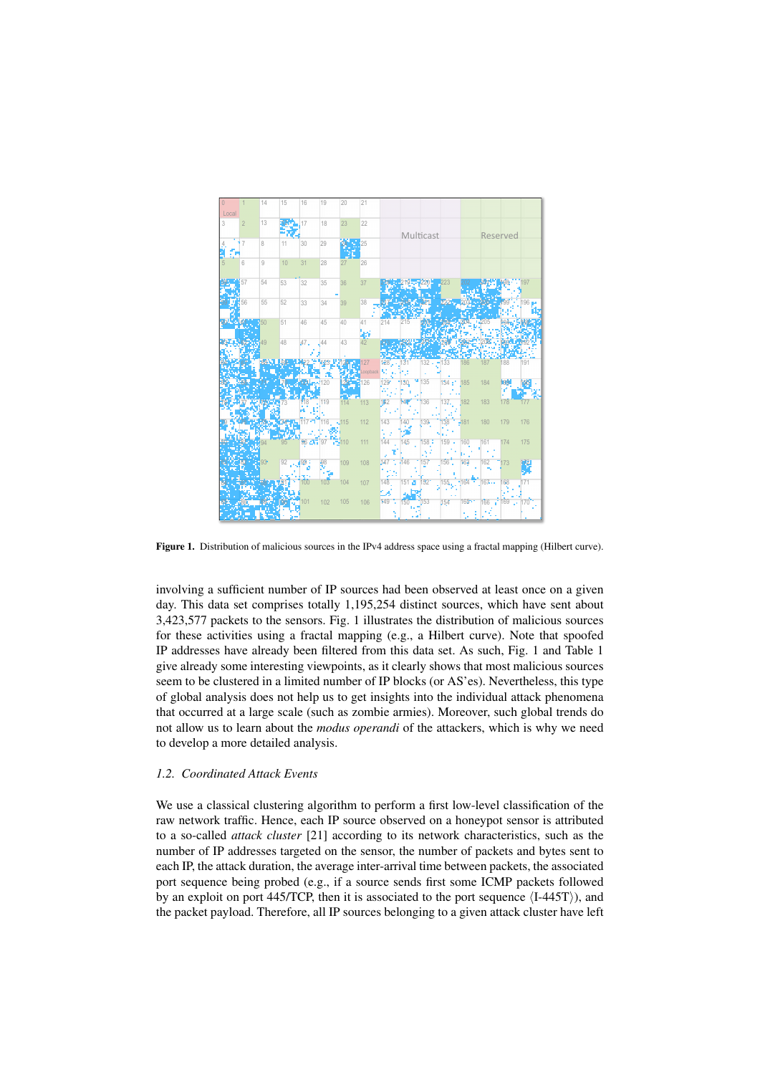

Figure 1. Distribution of malicious sources in the IPv4 address space using a fractal mapping (Hilbert curve).

involving a sufficient number of IP sources had been observed at least once on a given day. This data set comprises totally 1,195,254 distinct sources, which have sent about 3,423,577 packets to the sensors. Fig. 1 illustrates the distribution of malicious sources for these activities using a fractal mapping (e.g., a Hilbert curve). Note that spoofed IP addresses have already been filtered from this data set. As such, Fig. 1 and Table 1 give already some interesting viewpoints, as it clearly shows that most malicious sources seem to be clustered in a limited number of IP blocks (or AS'es). Nevertheless, this type of global analysis does not help us to get insights into the individual attack phenomena that occurred at a large scale (such as zombie armies). Moreover, such global trends do not allow us to learn about the *modus operandi* of the attackers, which is why we need to develop a more detailed analysis.

# *1.2. Coordinated Attack Events*

We use a classical clustering algorithm to perform a first low-level classification of the raw network traffic. Hence, each IP source observed on a honeypot sensor is attributed to a so-called *attack cluster* [21] according to its network characteristics, such as the number of IP addresses targeted on the sensor, the number of packets and bytes sent to each IP, the attack duration, the average inter-arrival time between packets, the associated port sequence being probed (e.g., if a source sends first some ICMP packets followed by an exploit on port 445/TCP, then it is associated to the port sequence  $\langle$ I-445T $\rangle$ ), and the packet payload. Therefore, all IP sources belonging to a given attack cluster have left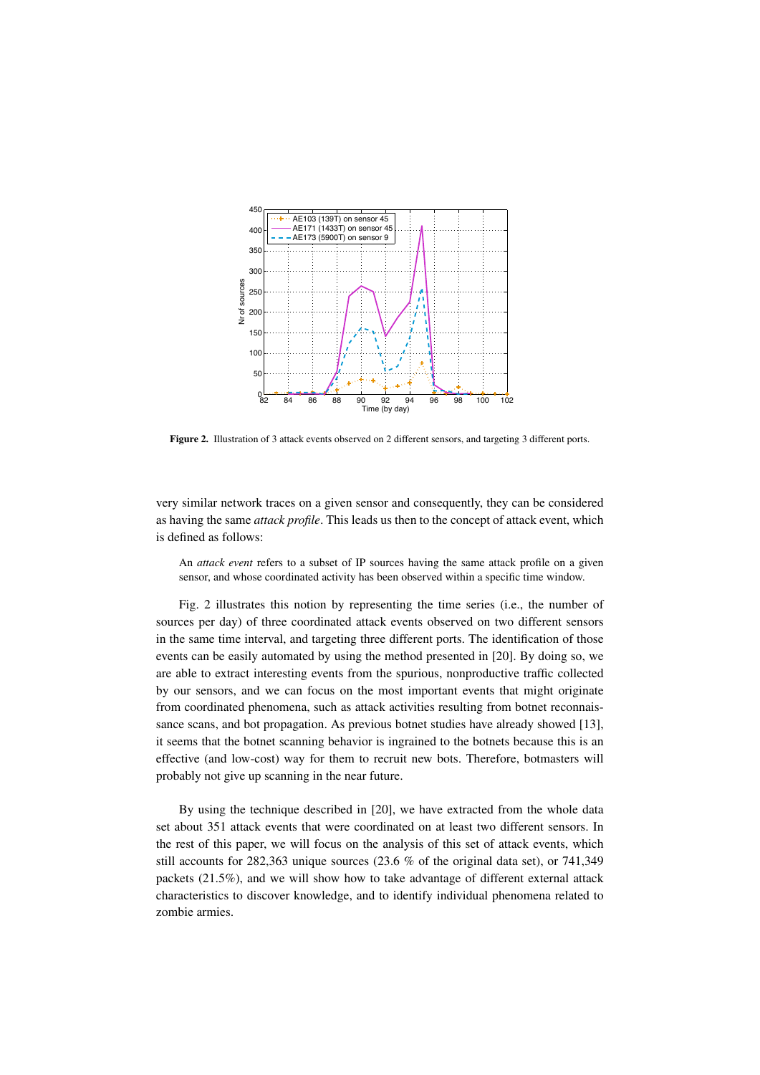

Figure 2. Illustration of 3 attack events observed on 2 different sensors, and targeting 3 different ports.

very similar network traces on a given sensor and consequently, they can be considered as having the same *attack profile*. This leads us then to the concept of attack event, which is defined as follows:

An *attack event* refers to a subset of IP sources having the same attack profile on a given sensor, and whose coordinated activity has been observed within a specific time window.

Fig. 2 illustrates this notion by representing the time series (i.e., the number of sources per day) of three coordinated attack events observed on two different sensors in the same time interval, and targeting three different ports. The identification of those events can be easily automated by using the method presented in [20]. By doing so, we are able to extract interesting events from the spurious, nonproductive traffic collected by our sensors, and we can focus on the most important events that might originate from coordinated phenomena, such as attack activities resulting from botnet reconnaissance scans, and bot propagation. As previous botnet studies have already showed [13], it seems that the botnet scanning behavior is ingrained to the botnets because this is an effective (and low-cost) way for them to recruit new bots. Therefore, botmasters will probably not give up scanning in the near future.

By using the technique described in [20], we have extracted from the whole data set about 351 attack events that were coordinated on at least two different sensors. In the rest of this paper, we will focus on the analysis of this set of attack events, which still accounts for 282,363 unique sources (23.6 % of the original data set), or 741,349 packets (21.5%), and we will show how to take advantage of different external attack characteristics to discover knowledge, and to identify individual phenomena related to zombie armies.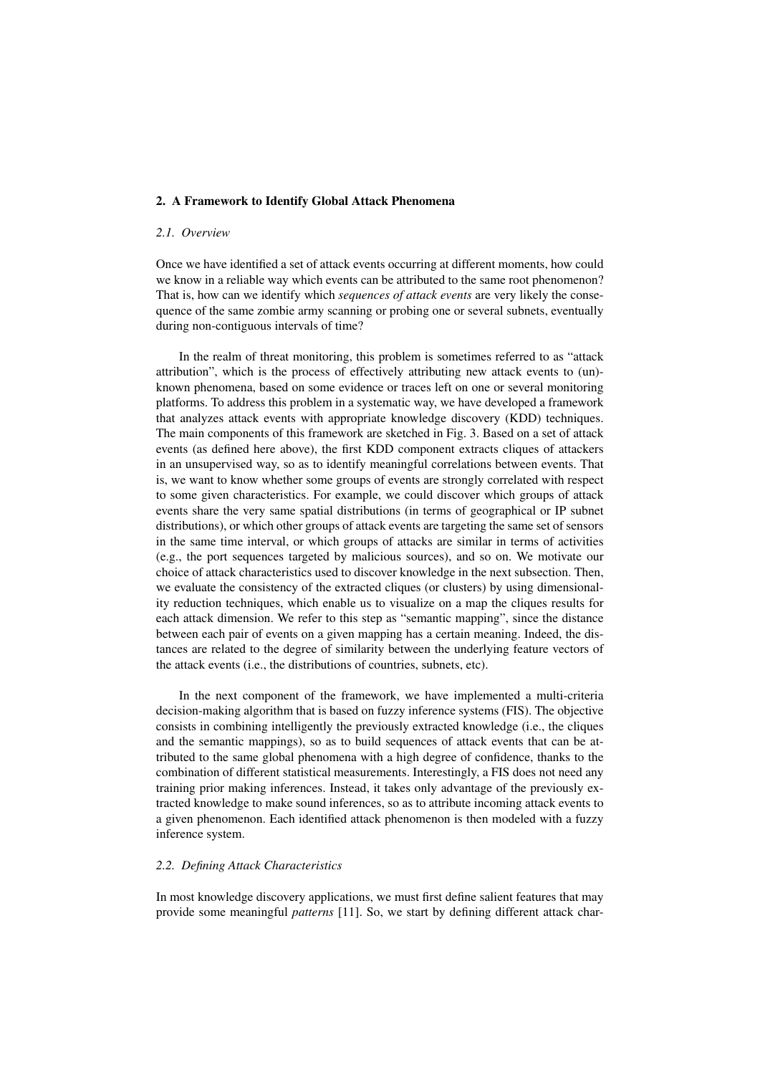# 2. A Framework to Identify Global Attack Phenomena

### *2.1. Overview*

Once we have identified a set of attack events occurring at different moments, how could we know in a reliable way which events can be attributed to the same root phenomenon? That is, how can we identify which *sequences of attack events* are very likely the consequence of the same zombie army scanning or probing one or several subnets, eventually during non-contiguous intervals of time?

In the realm of threat monitoring, this problem is sometimes referred to as "attack attribution", which is the process of effectively attributing new attack events to (un) known phenomena, based on some evidence or traces left on one or several monitoring platforms. To address this problem in a systematic way, we have developed a framework that analyzes attack events with appropriate knowledge discovery (KDD) techniques. The main components of this framework are sketched in Fig. 3. Based on a set of attack events (as defined here above), the first KDD component extracts cliques of attackers in an unsupervised way, so as to identify meaningful correlations between events. That is, we want to know whether some groups of events are strongly correlated with respect to some given characteristics. For example, we could discover which groups of attack events share the very same spatial distributions (in terms of geographical or IP subnet distributions), or which other groups of attack events are targeting the same set of sensors in the same time interval, or which groups of attacks are similar in terms of activities (e.g., the port sequences targeted by malicious sources), and so on. We motivate our choice of attack characteristics used to discover knowledge in the next subsection. Then, we evaluate the consistency of the extracted cliques (or clusters) by using dimensionality reduction techniques, which enable us to visualize on a map the cliques results for each attack dimension. We refer to this step as "semantic mapping", since the distance between each pair of events on a given mapping has a certain meaning. Indeed, the distances are related to the degree of similarity between the underlying feature vectors of the attack events (i.e., the distributions of countries, subnets, etc).

In the next component of the framework, we have implemented a multi-criteria decision-making algorithm that is based on fuzzy inference systems (FIS). The objective consists in combining intelligently the previously extracted knowledge (i.e., the cliques and the semantic mappings), so as to build sequences of attack events that can be attributed to the same global phenomena with a high degree of confidence, thanks to the combination of different statistical measurements. Interestingly, a FIS does not need any training prior making inferences. Instead, it takes only advantage of the previously extracted knowledge to make sound inferences, so as to attribute incoming attack events to a given phenomenon. Each identified attack phenomenon is then modeled with a fuzzy inference system.

#### *2.2. Defining Attack Characteristics*

In most knowledge discovery applications, we must first define salient features that may provide some meaningful *patterns* [11]. So, we start by defining different attack char-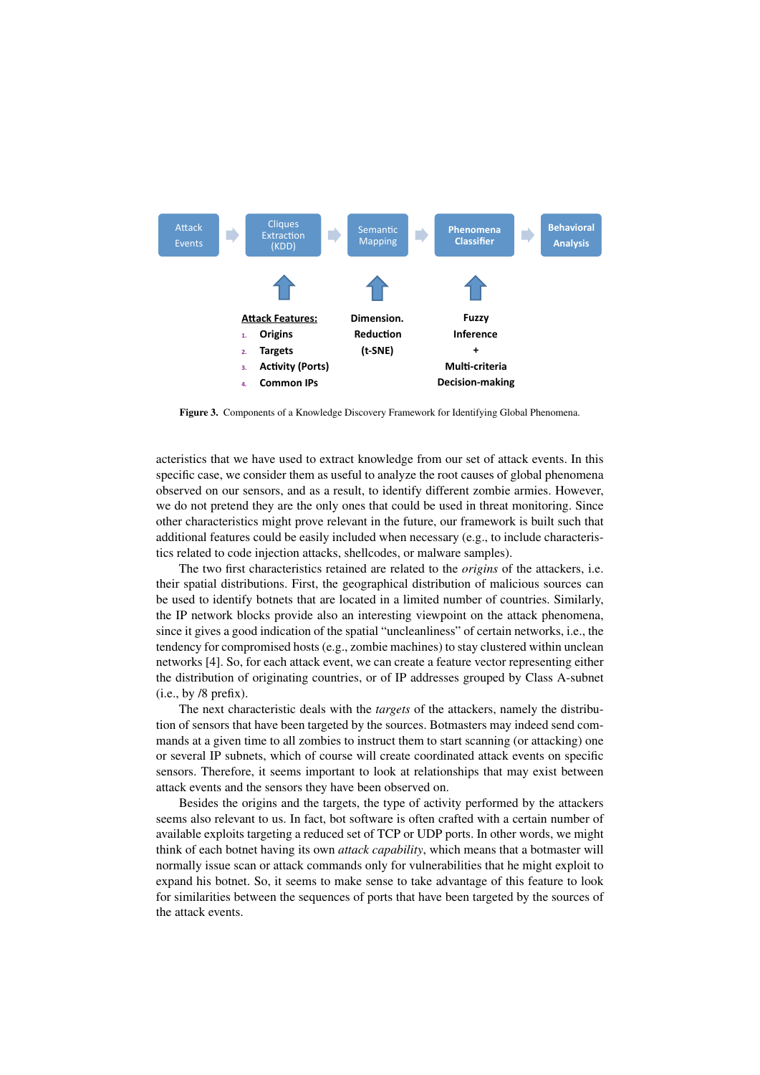

Figure 3. Components of a Knowledge Discovery Framework for Identifying Global Phenomena.

acteristics that we have used to extract knowledge from our set of attack events. In this specific case, we consider them as useful to analyze the root causes of global phenomena observed on our sensors, and as a result, to identify different zombie armies. However, we do not pretend they are the only ones that could be used in threat monitoring. Since other characteristics might prove relevant in the future, our framework is built such that additional features could be easily included when necessary (e.g., to include characteristics related to code injection attacks, shellcodes, or malware samples).

The two first characteristics retained are related to the *origins* of the attackers, i.e. their spatial distributions. First, the geographical distribution of malicious sources can be used to identify botnets that are located in a limited number of countries. Similarly, the IP network blocks provide also an interesting viewpoint on the attack phenomena, since it gives a good indication of the spatial "uncleanliness" of certain networks, i.e., the tendency for compromised hosts (e.g., zombie machines) to stay clustered within unclean networks [4]. So, for each attack event, we can create a feature vector representing either the distribution of originating countries, or of IP addresses grouped by Class A-subnet (i.e., by /8 prefix).

The next characteristic deals with the *targets* of the attackers, namely the distribution of sensors that have been targeted by the sources. Botmasters may indeed send commands at a given time to all zombies to instruct them to start scanning (or attacking) one or several IP subnets, which of course will create coordinated attack events on specific sensors. Therefore, it seems important to look at relationships that may exist between attack events and the sensors they have been observed on.

Besides the origins and the targets, the type of activity performed by the attackers seems also relevant to us. In fact, bot software is often crafted with a certain number of available exploits targeting a reduced set of TCP or UDP ports. In other words, we might think of each botnet having its own *attack capability*, which means that a botmaster will normally issue scan or attack commands only for vulnerabilities that he might exploit to expand his botnet. So, it seems to make sense to take advantage of this feature to look for similarities between the sequences of ports that have been targeted by the sources of the attack events.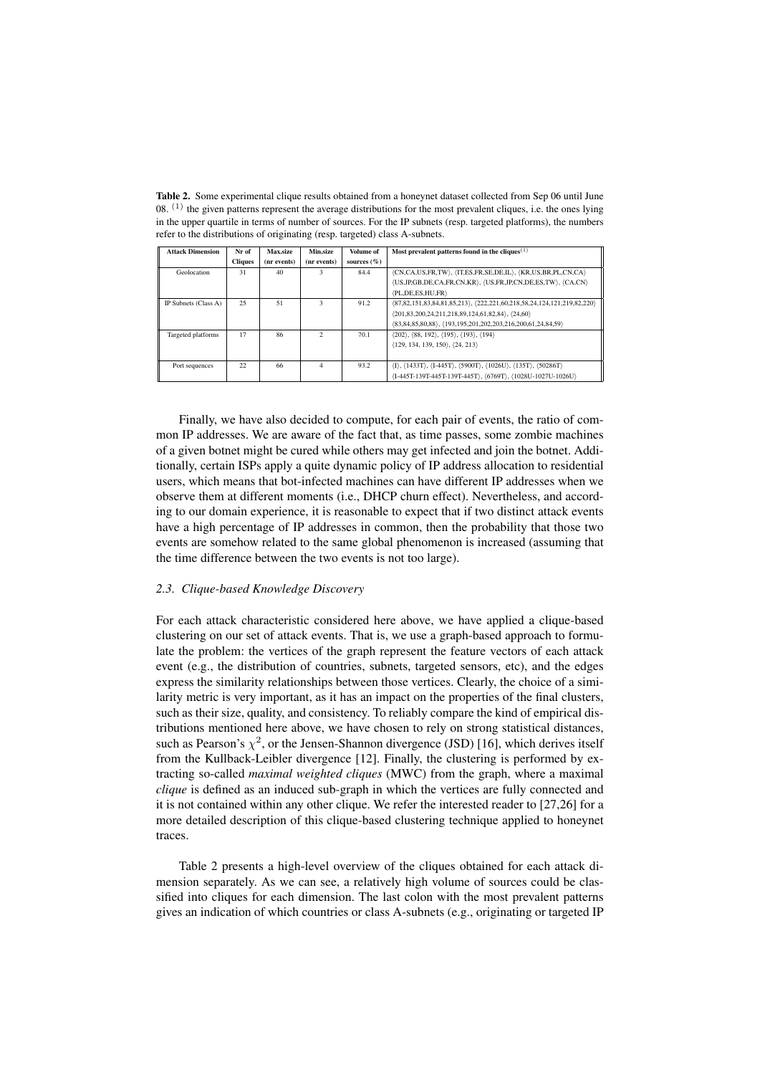Table 2. Some experimental clique results obtained from a honeynet dataset collected from Sep 06 until June  $08.$   $(1)$  the given patterns represent the average distributions for the most prevalent cliques, i.e. the ones lying in the upper quartile in terms of number of sources. For the IP subnets (resp. targeted platforms), the numbers refer to the distributions of originating (resp. targeted) class A-subnets.

| <b>Attack Dimension</b> | Nr of          | Max.size    | Min.size           | Volume of       | Most prevalent patterns found in the cliques $(1)$                                                                                                                               |
|-------------------------|----------------|-------------|--------------------|-----------------|----------------------------------------------------------------------------------------------------------------------------------------------------------------------------------|
|                         | <b>Cliques</b> | (nr events) | (nr events)        | sources $(\% )$ |                                                                                                                                                                                  |
| Geolocation             | 31             | 40          | $\mathbf{3}$       | 84.4            | $\langle CN, CA, US, FR, TW \rangle$ , $\langle IT, ES, FR, SE, DE, IL \rangle$ , $\langle KR, US, BR, PL, CN, CA \rangle$                                                       |
|                         |                |             |                    |                 | (US, JP, GB, DE, CA, FR, CN, KR), (US, FR, JP, CN, DE, ES, TW), (CA, CN)                                                                                                         |
|                         |                |             |                    |                 | (PL,DE,ES,HU,FR)                                                                                                                                                                 |
| IP Subnets (Class A)    | 25             | 51          | $\mathbf{\hat{z}}$ | 91.2            | $(87,82,151,83,84,81,85,213), (222,221,60,218,58,24,124,121,219,82,220)$                                                                                                         |
|                         |                |             |                    |                 | $(201, 83, 200, 24, 211, 218, 89, 124, 61, 82, 84), (24, 60)$                                                                                                                    |
|                         |                |             |                    |                 | $(83,84,85,80,88)$ , $(193,195,201,202,203,216,200,61,24,84,59)$                                                                                                                 |
| Targeted platforms      | 17             | 86          | $\mathcal{P}$      | 70.1            | $\langle 202 \rangle$ , $\langle 88, 192 \rangle$ , $\langle 195 \rangle$ , $\langle 193 \rangle$ , $\langle 194 \rangle$                                                        |
|                         |                |             |                    |                 | (129, 134, 139, 150), (24, 213)                                                                                                                                                  |
|                         |                |             |                    |                 |                                                                                                                                                                                  |
| Port sequences          | 22             | 66          | $\Delta$           | 93.2            | $\langle I \rangle$ , $\langle 1433T \rangle$ , $\langle I-445T \rangle$ , $\langle 5900T \rangle$ , $\langle 1026U \rangle$ , $\langle 135T \rangle$ , $\langle 50286T \rangle$ |
|                         |                |             |                    |                 | (I-445T-139T-445T-139T-445T), (6769T), (1028U-1027U-1026U)                                                                                                                       |

Finally, we have also decided to compute, for each pair of events, the ratio of common IP addresses. We are aware of the fact that, as time passes, some zombie machines of a given botnet might be cured while others may get infected and join the botnet. Additionally, certain ISPs apply a quite dynamic policy of IP address allocation to residential users, which means that bot-infected machines can have different IP addresses when we observe them at different moments (i.e., DHCP churn effect). Nevertheless, and according to our domain experience, it is reasonable to expect that if two distinct attack events have a high percentage of IP addresses in common, then the probability that those two events are somehow related to the same global phenomenon is increased (assuming that the time difference between the two events is not too large).

#### *2.3. Clique-based Knowledge Discovery*

For each attack characteristic considered here above, we have applied a clique-based clustering on our set of attack events. That is, we use a graph-based approach to formulate the problem: the vertices of the graph represent the feature vectors of each attack event (e.g., the distribution of countries, subnets, targeted sensors, etc), and the edges express the similarity relationships between those vertices. Clearly, the choice of a similarity metric is very important, as it has an impact on the properties of the final clusters, such as their size, quality, and consistency. To reliably compare the kind of empirical distributions mentioned here above, we have chosen to rely on strong statistical distances, such as Pearson's  $\chi^2$ , or the Jensen-Shannon divergence (JSD) [16], which derives itself from the Kullback-Leibler divergence [12]. Finally, the clustering is performed by extracting so-called *maximal weighted cliques* (MWC) from the graph, where a maximal *clique* is defined as an induced sub-graph in which the vertices are fully connected and it is not contained within any other clique. We refer the interested reader to [27,26] for a more detailed description of this clique-based clustering technique applied to honeynet traces.

Table 2 presents a high-level overview of the cliques obtained for each attack dimension separately. As we can see, a relatively high volume of sources could be classified into cliques for each dimension. The last colon with the most prevalent patterns gives an indication of which countries or class A-subnets (e.g., originating or targeted IP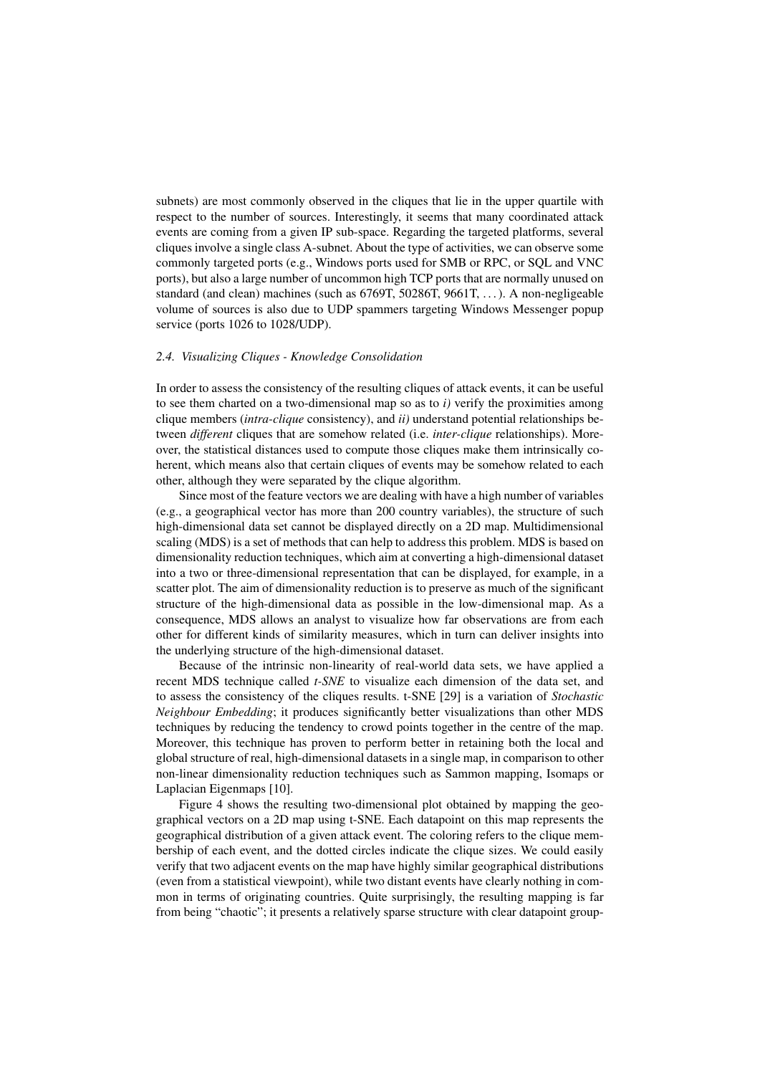subnets) are most commonly observed in the cliques that lie in the upper quartile with respect to the number of sources. Interestingly, it seems that many coordinated attack events are coming from a given IP sub-space. Regarding the targeted platforms, several cliques involve a single class A-subnet. About the type of activities, we can observe some commonly targeted ports (e.g., Windows ports used for SMB or RPC, or SQL and VNC ports), but also a large number of uncommon high TCP ports that are normally unused on standard (and clean) machines (such as 6769T, 50286T, 9661T, . . . ). A non-negligeable volume of sources is also due to UDP spammers targeting Windows Messenger popup service (ports 1026 to 1028/UDP).

#### *2.4. Visualizing Cliques - Knowledge Consolidation*

In order to assess the consistency of the resulting cliques of attack events, it can be useful to see them charted on a two-dimensional map so as to *i)* verify the proximities among clique members (*intra-clique* consistency), and *ii)* understand potential relationships between *different* cliques that are somehow related (i.e. *inter-clique* relationships). Moreover, the statistical distances used to compute those cliques make them intrinsically coherent, which means also that certain cliques of events may be somehow related to each other, although they were separated by the clique algorithm.

Since most of the feature vectors we are dealing with have a high number of variables (e.g., a geographical vector has more than 200 country variables), the structure of such high-dimensional data set cannot be displayed directly on a 2D map. Multidimensional scaling (MDS) is a set of methods that can help to address this problem. MDS is based on dimensionality reduction techniques, which aim at converting a high-dimensional dataset into a two or three-dimensional representation that can be displayed, for example, in a scatter plot. The aim of dimensionality reduction is to preserve as much of the significant structure of the high-dimensional data as possible in the low-dimensional map. As a consequence, MDS allows an analyst to visualize how far observations are from each other for different kinds of similarity measures, which in turn can deliver insights into the underlying structure of the high-dimensional dataset.

Because of the intrinsic non-linearity of real-world data sets, we have applied a recent MDS technique called *t-SNE* to visualize each dimension of the data set, and to assess the consistency of the cliques results. t-SNE [29] is a variation of *Stochastic Neighbour Embedding*; it produces significantly better visualizations than other MDS techniques by reducing the tendency to crowd points together in the centre of the map. Moreover, this technique has proven to perform better in retaining both the local and global structure of real, high-dimensional datasets in a single map, in comparison to other non-linear dimensionality reduction techniques such as Sammon mapping, Isomaps or Laplacian Eigenmaps [10].

Figure 4 shows the resulting two-dimensional plot obtained by mapping the geographical vectors on a 2D map using t-SNE. Each datapoint on this map represents the geographical distribution of a given attack event. The coloring refers to the clique membership of each event, and the dotted circles indicate the clique sizes. We could easily verify that two adjacent events on the map have highly similar geographical distributions (even from a statistical viewpoint), while two distant events have clearly nothing in common in terms of originating countries. Quite surprisingly, the resulting mapping is far from being "chaotic"; it presents a relatively sparse structure with clear datapoint group-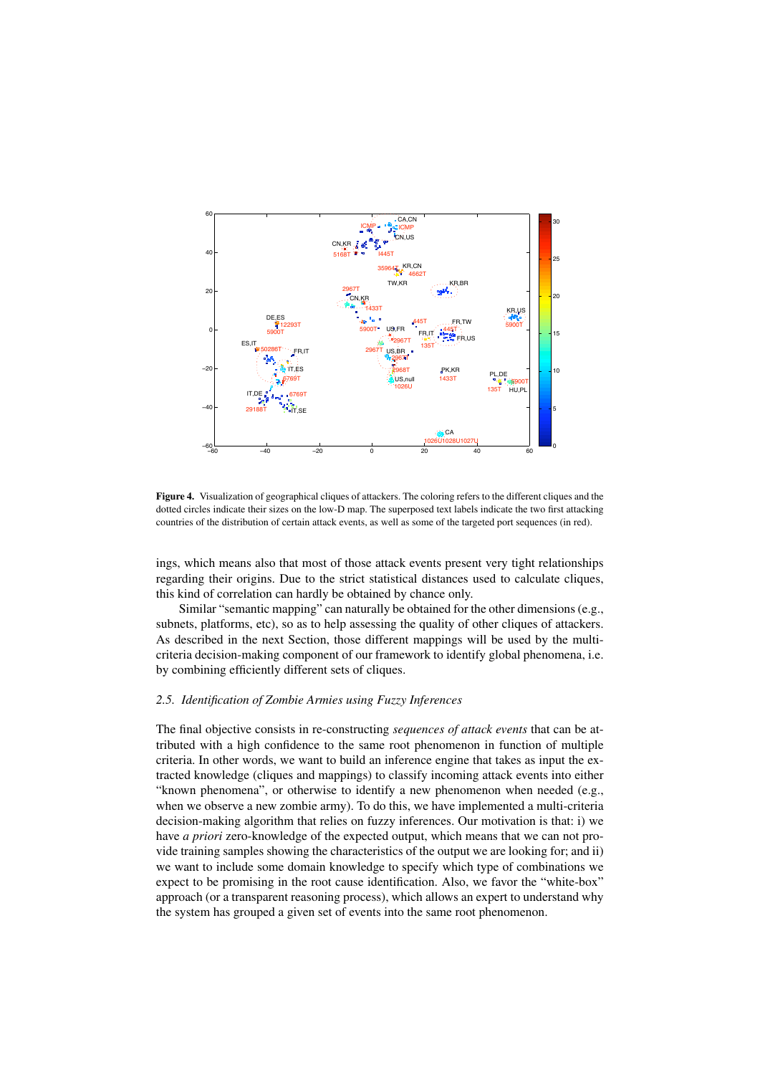

Figure 4. Visualization of geographical cliques of attackers. The coloring refers to the different cliques and the dotted circles indicate their sizes on the low-D map. The superposed text labels indicate the two first attacking countries of the distribution of certain attack events, as well as some of the targeted port sequences (in red).

ings, which means also that most of those attack events present very tight relationships regarding their origins. Due to the strict statistical distances used to calculate cliques, this kind of correlation can hardly be obtained by chance only.

Similar "semantic mapping" can naturally be obtained for the other dimensions (e.g., subnets, platforms, etc), so as to help assessing the quality of other cliques of attackers. As described in the next Section, those different mappings will be used by the multicriteria decision-making component of our framework to identify global phenomena, i.e. by combining efficiently different sets of cliques.

## *2.5. Identification of Zombie Armies using Fuzzy Inferences*

The final objective consists in re-constructing *sequences of attack events* that can be attributed with a high confidence to the same root phenomenon in function of multiple criteria. In other words, we want to build an inference engine that takes as input the extracted knowledge (cliques and mappings) to classify incoming attack events into either "known phenomena", or otherwise to identify a new phenomenon when needed (e.g., when we observe a new zombie army). To do this, we have implemented a multi-criteria decision-making algorithm that relies on fuzzy inferences. Our motivation is that: i) we have *a priori* zero-knowledge of the expected output, which means that we can not provide training samples showing the characteristics of the output we are looking for; and ii) we want to include some domain knowledge to specify which type of combinations we expect to be promising in the root cause identification. Also, we favor the "white-box" approach (or a transparent reasoning process), which allows an expert to understand why the system has grouped a given set of events into the same root phenomenon.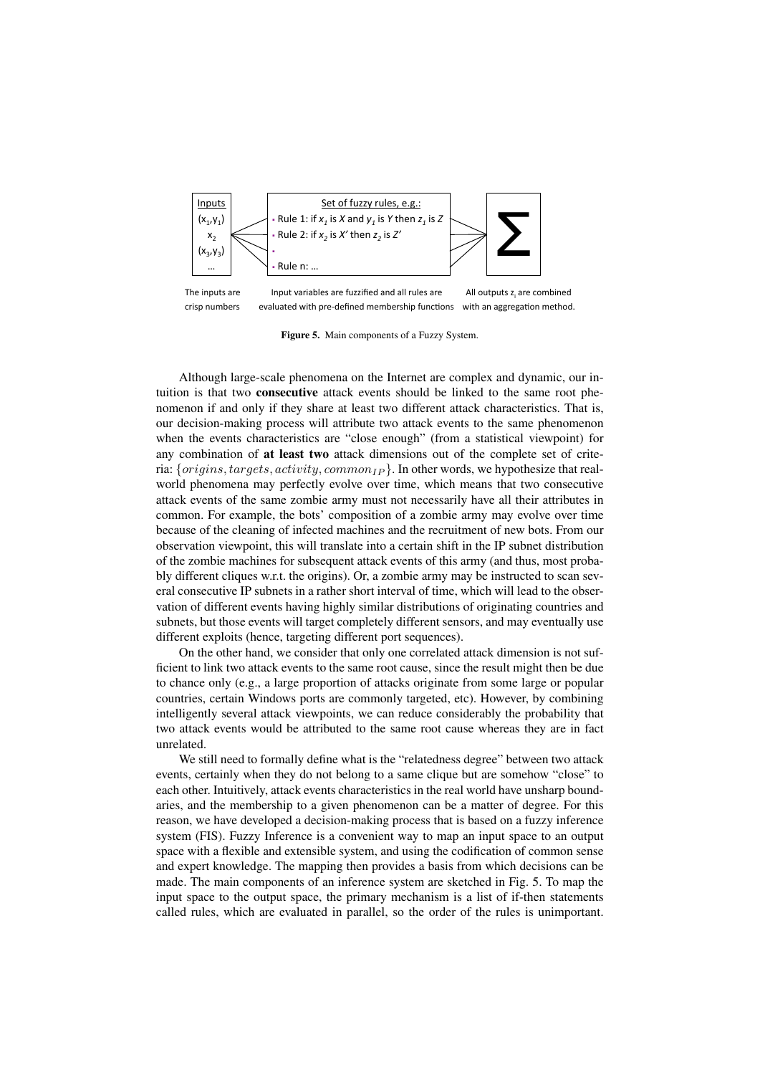

Input variables are fuzzified and all rules are evaluated with pre-defined membership functions with an aggregation method. The inputs are crisp numbers All outputs  $z_i$  are combined

Figure 5. Main components of a Fuzzy System.

Although large-scale phenomena on the Internet are complex and dynamic, our intuition is that two consecutive attack events should be linked to the same root phenomenon if and only if they share at least two different attack characteristics. That is, our decision-making process will attribute two attack events to the same phenomenon when the events characteristics are "close enough" (from a statistical viewpoint) for any combination of at least two attack dimensions out of the complete set of criteria:  $\{origins, targets, activity, common_{IP} \}$ . In other words, we hypothesize that realworld phenomena may perfectly evolve over time, which means that two consecutive attack events of the same zombie army must not necessarily have all their attributes in common. For example, the bots' composition of a zombie army may evolve over time because of the cleaning of infected machines and the recruitment of new bots. From our observation viewpoint, this will translate into a certain shift in the IP subnet distribution of the zombie machines for subsequent attack events of this army (and thus, most probably different cliques w.r.t. the origins). Or, a zombie army may be instructed to scan several consecutive IP subnets in a rather short interval of time, which will lead to the observation of different events having highly similar distributions of originating countries and subnets, but those events will target completely different sensors, and may eventually use different exploits (hence, targeting different port sequences).

On the other hand, we consider that only one correlated attack dimension is not sufficient to link two attack events to the same root cause, since the result might then be due to chance only (e.g., a large proportion of attacks originate from some large or popular countries, certain Windows ports are commonly targeted, etc). However, by combining intelligently several attack viewpoints, we can reduce considerably the probability that two attack events would be attributed to the same root cause whereas they are in fact unrelated.

We still need to formally define what is the "relatedness degree" between two attack events, certainly when they do not belong to a same clique but are somehow "close" to each other. Intuitively, attack events characteristics in the real world have unsharp boundaries, and the membership to a given phenomenon can be a matter of degree. For this reason, we have developed a decision-making process that is based on a fuzzy inference system (FIS). Fuzzy Inference is a convenient way to map an input space to an output space with a flexible and extensible system, and using the codification of common sense and expert knowledge. The mapping then provides a basis from which decisions can be made. The main components of an inference system are sketched in Fig. 5. To map the input space to the output space, the primary mechanism is a list of if-then statements called rules, which are evaluated in parallel, so the order of the rules is unimportant.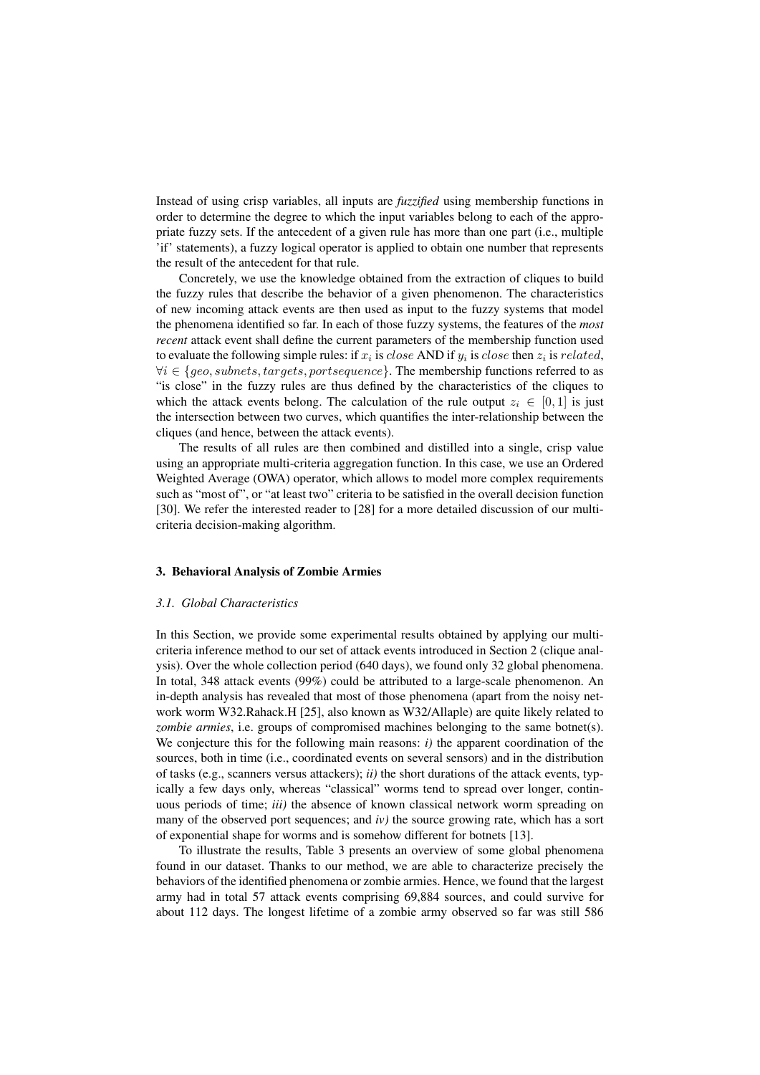Instead of using crisp variables, all inputs are *fuzzified* using membership functions in order to determine the degree to which the input variables belong to each of the appropriate fuzzy sets. If the antecedent of a given rule has more than one part (i.e., multiple 'if' statements), a fuzzy logical operator is applied to obtain one number that represents the result of the antecedent for that rule.

Concretely, we use the knowledge obtained from the extraction of cliques to build the fuzzy rules that describe the behavior of a given phenomenon. The characteristics of new incoming attack events are then used as input to the fuzzy systems that model the phenomena identified so far. In each of those fuzzy systems, the features of the *most recent* attack event shall define the current parameters of the membership function used to evaluate the following simple rules: if  $x_i$  is *close* AND if  $y_i$  is *close* then  $z_i$  is *related*,  $\forall i \in \{geo, subnets, targets, portsequence\}$ . The membership functions referred to as "is close" in the fuzzy rules are thus defined by the characteristics of the cliques to which the attack events belong. The calculation of the rule output  $z_i \in [0,1]$  is just the intersection between two curves, which quantifies the inter-relationship between the cliques (and hence, between the attack events).

The results of all rules are then combined and distilled into a single, crisp value using an appropriate multi-criteria aggregation function. In this case, we use an Ordered Weighted Average (OWA) operator, which allows to model more complex requirements such as "most of", or "at least two" criteria to be satisfied in the overall decision function [30]. We refer the interested reader to [28] for a more detailed discussion of our multicriteria decision-making algorithm.

#### 3. Behavioral Analysis of Zombie Armies

#### *3.1. Global Characteristics*

In this Section, we provide some experimental results obtained by applying our multicriteria inference method to our set of attack events introduced in Section 2 (clique analysis). Over the whole collection period (640 days), we found only 32 global phenomena. In total, 348 attack events (99%) could be attributed to a large-scale phenomenon. An in-depth analysis has revealed that most of those phenomena (apart from the noisy network worm W32.Rahack.H [25], also known as W32/Allaple) are quite likely related to *zombie armies*, i.e. groups of compromised machines belonging to the same botnet(s). We conjecture this for the following main reasons: *i)* the apparent coordination of the sources, both in time (i.e., coordinated events on several sensors) and in the distribution of tasks (e.g., scanners versus attackers); *ii)* the short durations of the attack events, typically a few days only, whereas "classical" worms tend to spread over longer, continuous periods of time; *iii)* the absence of known classical network worm spreading on many of the observed port sequences; and  $iv$ ) the source growing rate, which has a sort of exponential shape for worms and is somehow different for botnets [13].

To illustrate the results, Table 3 presents an overview of some global phenomena found in our dataset. Thanks to our method, we are able to characterize precisely the behaviors of the identified phenomena or zombie armies. Hence, we found that the largest army had in total 57 attack events comprising 69,884 sources, and could survive for about 112 days. The longest lifetime of a zombie army observed so far was still 586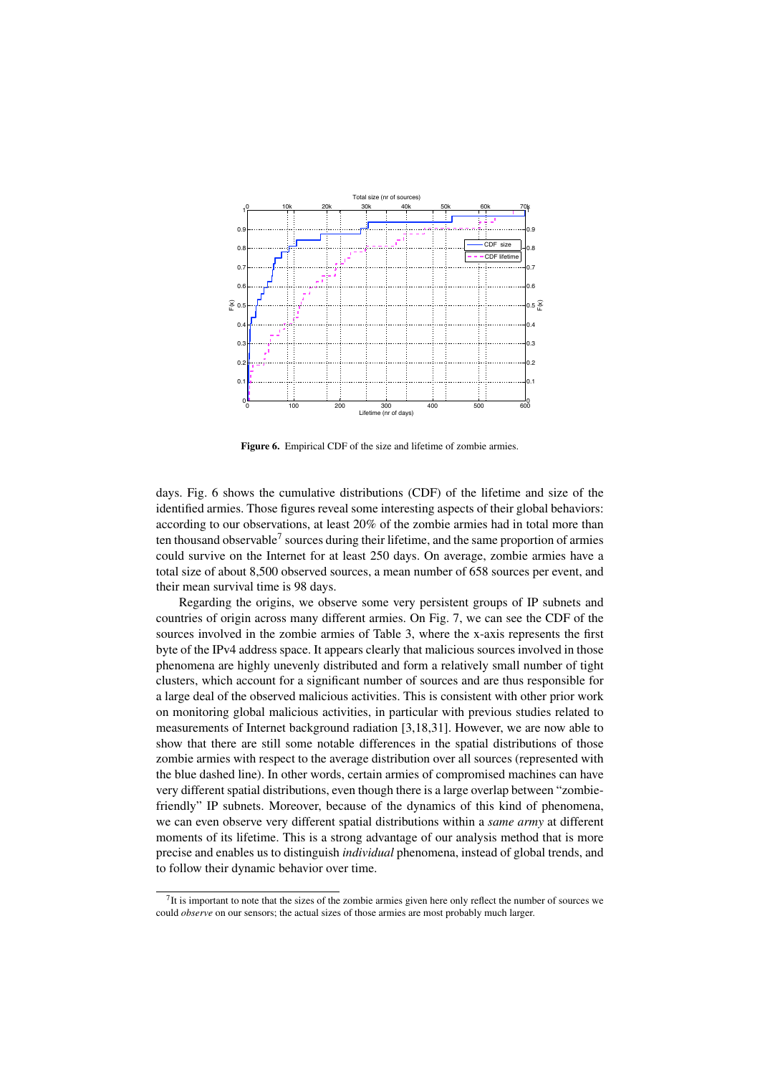

Figure 6. Empirical CDF of the size and lifetime of zombie armies.

days. Fig. 6 shows the cumulative distributions (CDF) of the lifetime and size of the identified armies. Those figures reveal some interesting aspects of their global behaviors: according to our observations, at least 20% of the zombie armies had in total more than ten thousand observable<sup>7</sup> sources during their lifetime, and the same proportion of armies could survive on the Internet for at least 250 days. On average, zombie armies have a total size of about 8,500 observed sources, a mean number of 658 sources per event, and their mean survival time is 98 days.

Regarding the origins, we observe some very persistent groups of IP subnets and countries of origin across many different armies. On Fig. 7, we can see the CDF of the sources involved in the zombie armies of Table 3, where the x-axis represents the first byte of the IPv4 address space. It appears clearly that malicious sources involved in those phenomena are highly unevenly distributed and form a relatively small number of tight clusters, which account for a significant number of sources and are thus responsible for a large deal of the observed malicious activities. This is consistent with other prior work on monitoring global malicious activities, in particular with previous studies related to measurements of Internet background radiation [3,18,31]. However, we are now able to show that there are still some notable differences in the spatial distributions of those zombie armies with respect to the average distribution over all sources (represented with the blue dashed line). In other words, certain armies of compromised machines can have very different spatial distributions, even though there is a large overlap between "zombiefriendly" IP subnets. Moreover, because of the dynamics of this kind of phenomena, we can even observe very different spatial distributions within a *same army* at different moments of its lifetime. This is a strong advantage of our analysis method that is more precise and enables us to distinguish *individual* phenomena, instead of global trends, and to follow their dynamic behavior over time.

<sup>7</sup> It is important to note that the sizes of the zombie armies given here only reflect the number of sources we could *observe* on our sensors; the actual sizes of those armies are most probably much larger.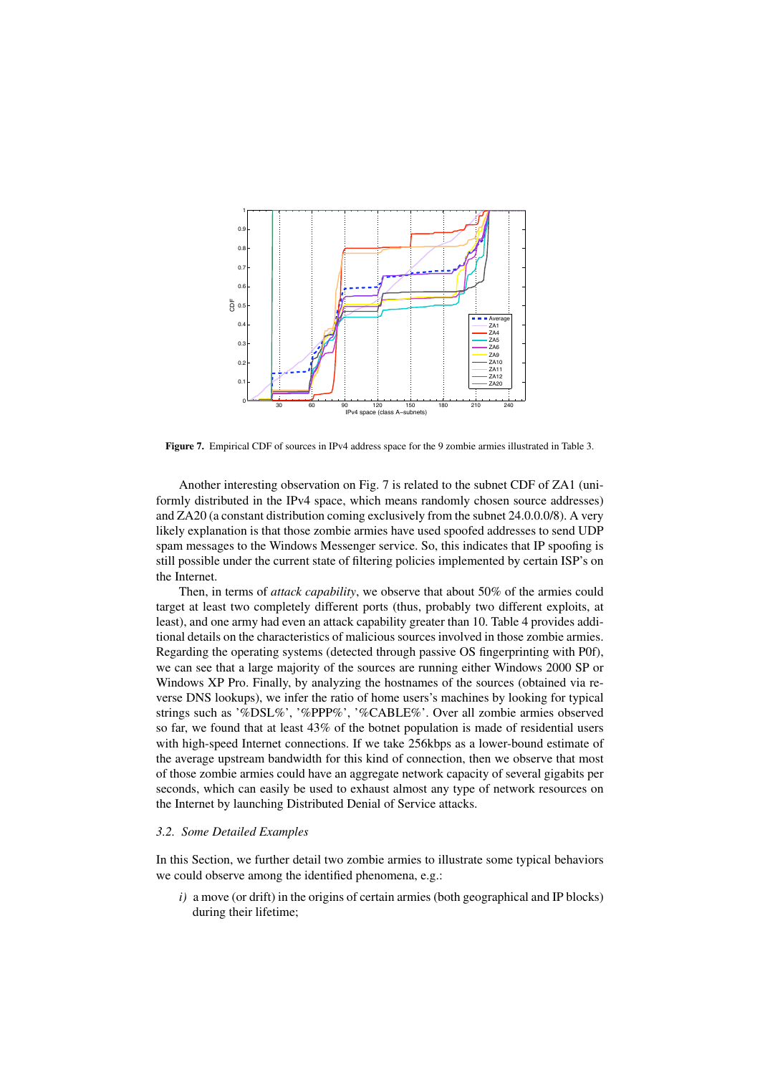

Figure 7. Empirical CDF of sources in IPv4 address space for the 9 zombie armies illustrated in Table 3.

Another interesting observation on Fig. 7 is related to the subnet CDF of ZA1 (uniformly distributed in the IPv4 space, which means randomly chosen source addresses) and ZA20 (a constant distribution coming exclusively from the subnet 24.0.0.0/8). A very likely explanation is that those zombie armies have used spoofed addresses to send UDP spam messages to the Windows Messenger service. So, this indicates that IP spoofing is still possible under the current state of filtering policies implemented by certain ISP's on the Internet.

Then, in terms of *attack capability*, we observe that about 50% of the armies could target at least two completely different ports (thus, probably two different exploits, at least), and one army had even an attack capability greater than 10. Table 4 provides additional details on the characteristics of malicious sources involved in those zombie armies. Regarding the operating systems (detected through passive OS fingerprinting with P0f), we can see that a large majority of the sources are running either Windows 2000 SP or Windows XP Pro. Finally, by analyzing the hostnames of the sources (obtained via reverse DNS lookups), we infer the ratio of home users's machines by looking for typical strings such as '%DSL%', '%PPP%', '%CABLE%'. Over all zombie armies observed so far, we found that at least 43% of the botnet population is made of residential users with high-speed Internet connections. If we take 256kbps as a lower-bound estimate of the average upstream bandwidth for this kind of connection, then we observe that most of those zombie armies could have an aggregate network capacity of several gigabits per seconds, which can easily be used to exhaust almost any type of network resources on the Internet by launching Distributed Denial of Service attacks.

## *3.2. Some Detailed Examples*

In this Section, we further detail two zombie armies to illustrate some typical behaviors we could observe among the identified phenomena, e.g.:

*i*) a move (or drift) in the origins of certain armies (both geographical and IP blocks) during their lifetime;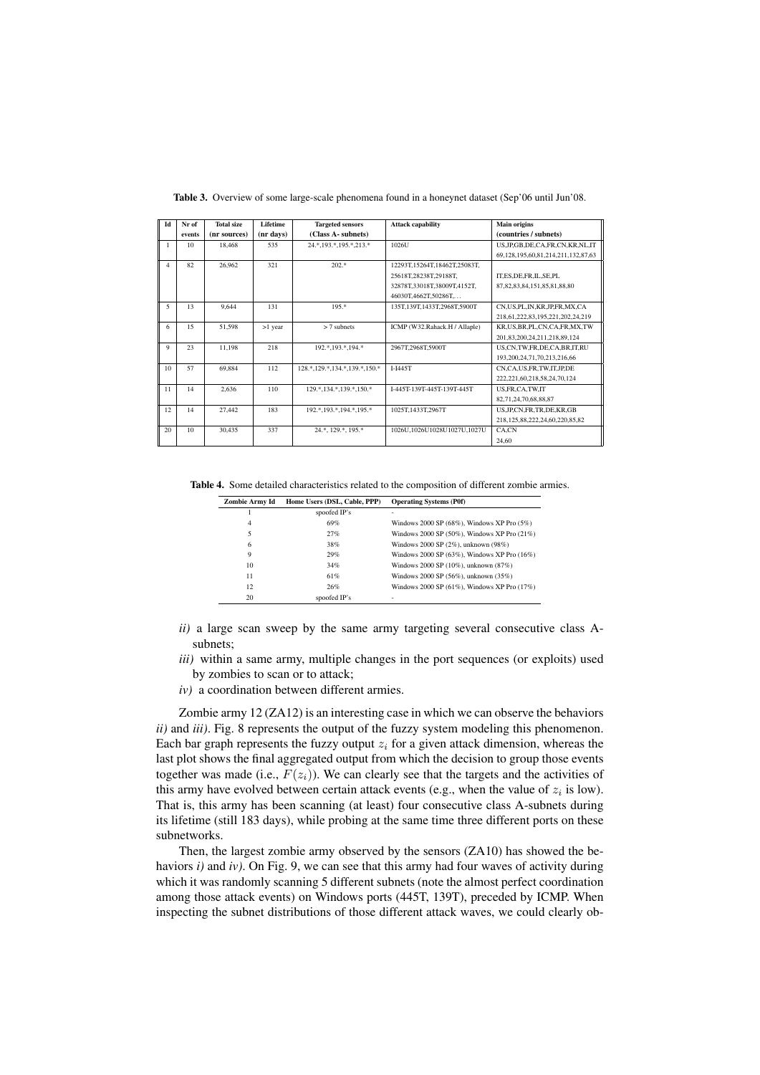| Тd             | Nr of  | <b>Total size</b> | Lifetime  | <b>Targeted sensors</b>           | <b>Attack capability</b>      | Main origins                                |
|----------------|--------|-------------------|-----------|-----------------------------------|-------------------------------|---------------------------------------------|
|                | events | (nr sources)      | (nr days) | (Class A- subnets)                |                               | (countries / subnets)                       |
|                | 10     | 18.468            | 535       | 24.*, 193.*, 195.*, 213.*         | 1026U                         | US, JP, GB, DE, CA, FR, CN, KR, NL, IT      |
|                |        |                   |           |                                   |                               | 69, 128, 195, 60, 81, 214, 211, 132, 87, 63 |
| $\overline{4}$ | 82     | 26.962            | 321       | $202.*$                           | 12293T.15264T.18462T.25083T.  |                                             |
|                |        |                   |           |                                   | 25618T.28238T.29188T.         | IT.ES.DE.FR.IL.SE.PL                        |
|                |        |                   |           |                                   | 32878T.33018T.38009T.4152T.   | 87, 82, 83, 84, 151, 85, 81, 88, 80         |
|                |        |                   |           |                                   | 46030T.4662T.50286T           |                                             |
| 5              | 13     | 9.644             | 131       | $195.*$                           | 135T.139T.1433T.2968T.5900T   | CN, US, PL, IN, KR, JP, FR, MX, CA          |
|                |        |                   |           |                                   |                               | 218.61.222.83.195.221.202.24.219            |
| 6              | 15     | 51.598            | $>1$ vear | $> 7$ subnets                     | ICMP (W32.Rahack.H / Allaple) | KR.US.BR.PL.CN.CA.FR.MX.TW                  |
|                |        |                   |           |                                   |                               | 201.83.200.24.211.218.89.124                |
| 9              | 23     | 11.198            | 218       | 192.*.193.*.194.*                 | 2967T.2968T.5900T             | US.CN.TW.FR.DE.CA.BR.IT.RU                  |
|                |        |                   |           |                                   |                               | 193.200.24.71.70.213.216.66                 |
| 10             | 57     | 69.884            | 112       | 128.*, 129.*, 134.*, 139.*, 150.* | I-J445T                       | CN,CA,US,FR,TW,IT,JP,DE                     |
|                |        |                   |           |                                   |                               | 222,221,60,218,58,24,70,124                 |
| 11             | 14     | 2.636             | 110       | 129.*.134.*.139.*.150.*           | I-445T-139T-445T-139T-445T    | US.FR.CA.TW.IT                              |
|                |        |                   |           |                                   |                               | 82,71,24,70,68,88,87                        |
| 12             | 14     | 27.442            | 183       | 192.*.193.*.194.*.195.*           | 1025T.1433T.2967T             | US, JP, CN, FR, TR, DE, KR, GB              |
|                |        |                   |           |                                   |                               | 218, 125, 88, 222, 24, 60, 220, 85, 82      |
| 20             | 10     | 30.435            | 337       | 24.*, 129.*, 195.*                | 1026U,1026U1028U1027U,1027U   | CA,CN                                       |
|                |        |                   |           |                                   |                               | 24.60                                       |

Table 3. Overview of some large-scale phenomena found in a honeynet dataset (Sep'06 until Jun'08.

Table 4. Some detailed characteristics related to the composition of different zombie armies.

| Zombie Army Id | Home Users (DSL, Cable, PPP) | <b>Operating Systems (P0f)</b>                     |
|----------------|------------------------------|----------------------------------------------------|
|                | spoofed IP's                 |                                                    |
| $\overline{4}$ | 69%                          | Windows 2000 SP $(68\%)$ , Windows XP Pro $(5\%)$  |
| 5              | 27%                          | Windows 2000 SP (50%), Windows XP Pro (21%)        |
| 6              | 38%                          | Windows 2000 SP (2%), unknown (98%)                |
| 9              | 29%                          | Windows 2000 SP $(63\%)$ , Windows XP Pro $(16\%)$ |
| 10             | 34%                          | Windows 2000 SP (10%), unknown (87%)               |
| 11             | 61%                          | Windows 2000 SP (56%), unknown (35%)               |
| 12             | 26%                          | Windows 2000 SP (61%), Windows XP Pro (17%)        |
| 20             | spoofed IP's                 |                                                    |

- *ii)* a large scan sweep by the same army targeting several consecutive class Asubnets;
- *iii*) within a same army, multiple changes in the port sequences (or exploits) used by zombies to scan or to attack;
- *iv)* a coordination between different armies.

Zombie army 12 (ZA12) is an interesting case in which we can observe the behaviors *ii)* and *iii)*. Fig. 8 represents the output of the fuzzy system modeling this phenomenon. Each bar graph represents the fuzzy output  $z_i$  for a given attack dimension, whereas the last plot shows the final aggregated output from which the decision to group those events together was made (i.e.,  $F(z_i)$ ). We can clearly see that the targets and the activities of this army have evolved between certain attack events (e.g., when the value of  $z_i$  is low). That is, this army has been scanning (at least) four consecutive class A-subnets during its lifetime (still 183 days), while probing at the same time three different ports on these subnetworks.

Then, the largest zombie army observed by the sensors (ZA10) has showed the behaviors *i)* and *iv)*. On Fig. 9, we can see that this army had four waves of activity during which it was randomly scanning 5 different subnets (note the almost perfect coordination among those attack events) on Windows ports (445T, 139T), preceded by ICMP. When inspecting the subnet distributions of those different attack waves, we could clearly ob-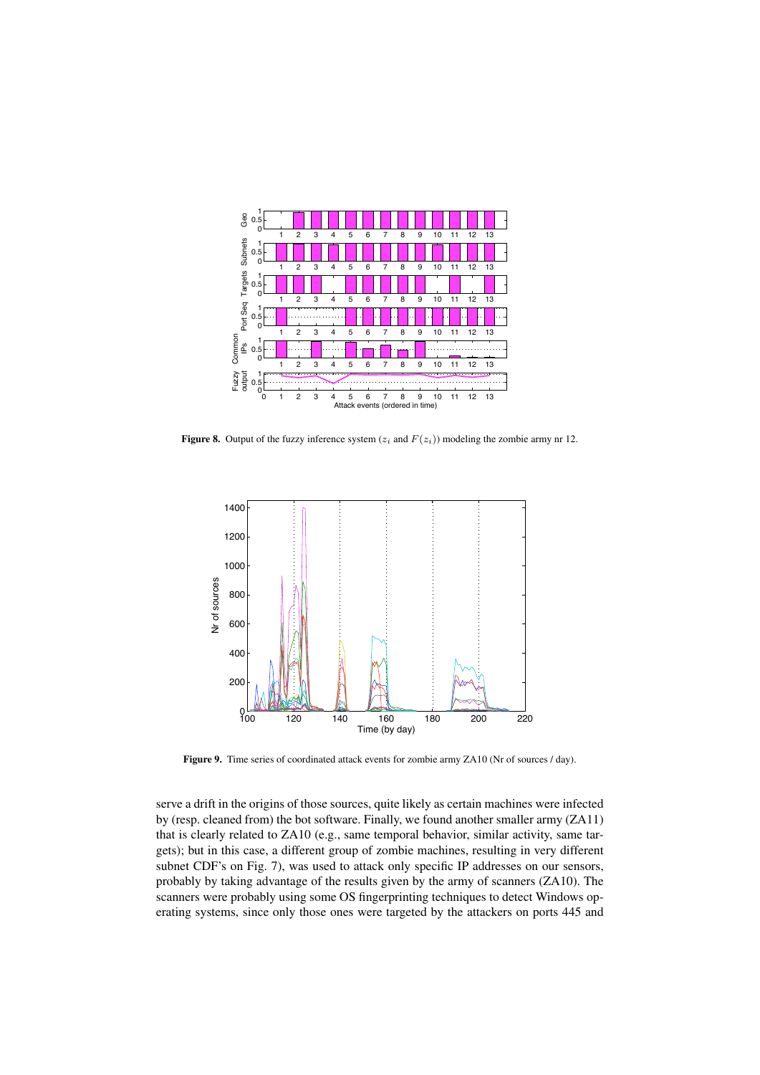

Figure 8. Output of the fuzzy inference system  $(z_i \text{ and } F(z_i))$  modeling the zombie army nr 12.



Figure 9. Time series of coordinated attack events for zombie army ZA10 (Nr of sources / day).

serve a drift in the origins of those sources, quite likely as certain machines were infected by (resp. cleaned from) the bot software. Finally, we found another smaller army (ZA11) that is clearly related to ZA10 (e.g., same temporal behavior, similar activity, same targets); but in this case, a different group of zombie machines, resulting in very different subnet CDF's on Fig. 7), was used to attack only specific IP addresses on our sensors, probably by taking advantage of the results given by the army of scanners (ZA10). The scanners were probably using some OS fingerprinting techniques to detect Windows operating systems, since only those ones were targeted by the attackers on ports 445 and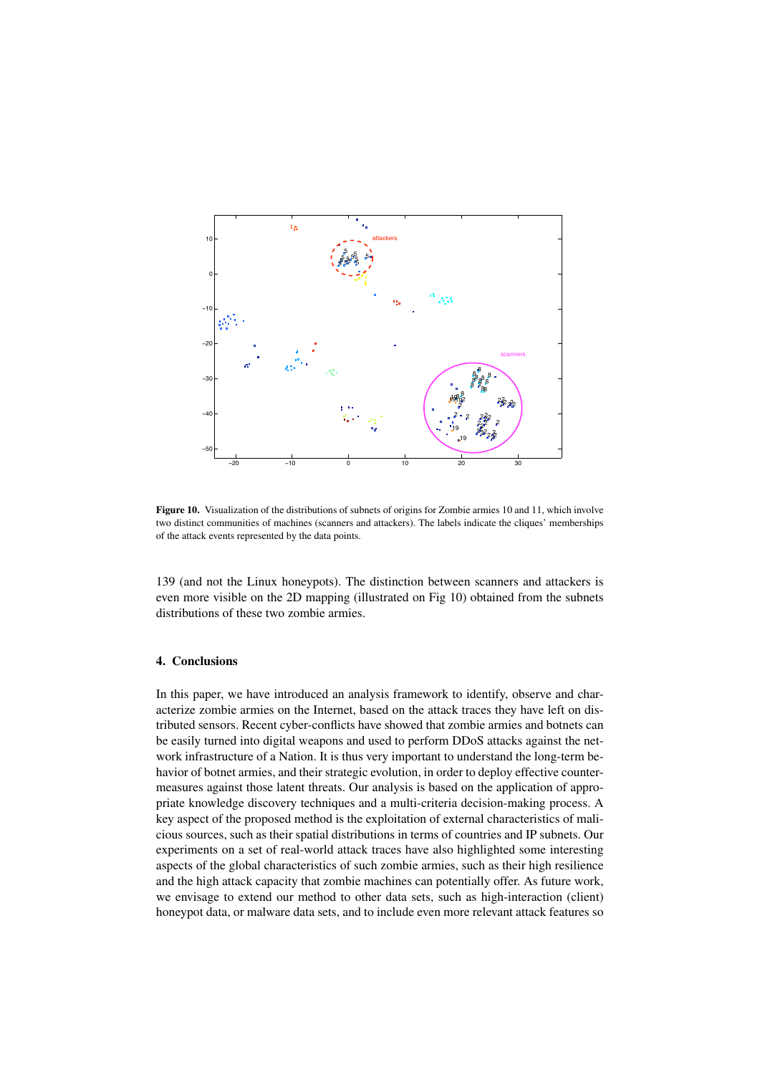

Figure 10. Visualization of the distributions of subnets of origins for Zombie armies 10 and 11, which involve two distinct communities of machines (scanners and attackers). The labels indicate the cliques' memberships of the attack events represented by the data points.

139 (and not the Linux honeypots). The distinction between scanners and attackers is even more visible on the 2D mapping (illustrated on Fig 10) obtained from the subnets distributions of these two zombie armies.

#### 4. Conclusions

In this paper, we have introduced an analysis framework to identify, observe and characterize zombie armies on the Internet, based on the attack traces they have left on distributed sensors. Recent cyber-conflicts have showed that zombie armies and botnets can be easily turned into digital weapons and used to perform DDoS attacks against the network infrastructure of a Nation. It is thus very important to understand the long-term behavior of botnet armies, and their strategic evolution, in order to deploy effective countermeasures against those latent threats. Our analysis is based on the application of appropriate knowledge discovery techniques and a multi-criteria decision-making process. A key aspect of the proposed method is the exploitation of external characteristics of malicious sources, such as their spatial distributions in terms of countries and IP subnets. Our experiments on a set of real-world attack traces have also highlighted some interesting aspects of the global characteristics of such zombie armies, such as their high resilience and the high attack capacity that zombie machines can potentially offer. As future work, we envisage to extend our method to other data sets, such as high-interaction (client) honeypot data, or malware data sets, and to include even more relevant attack features so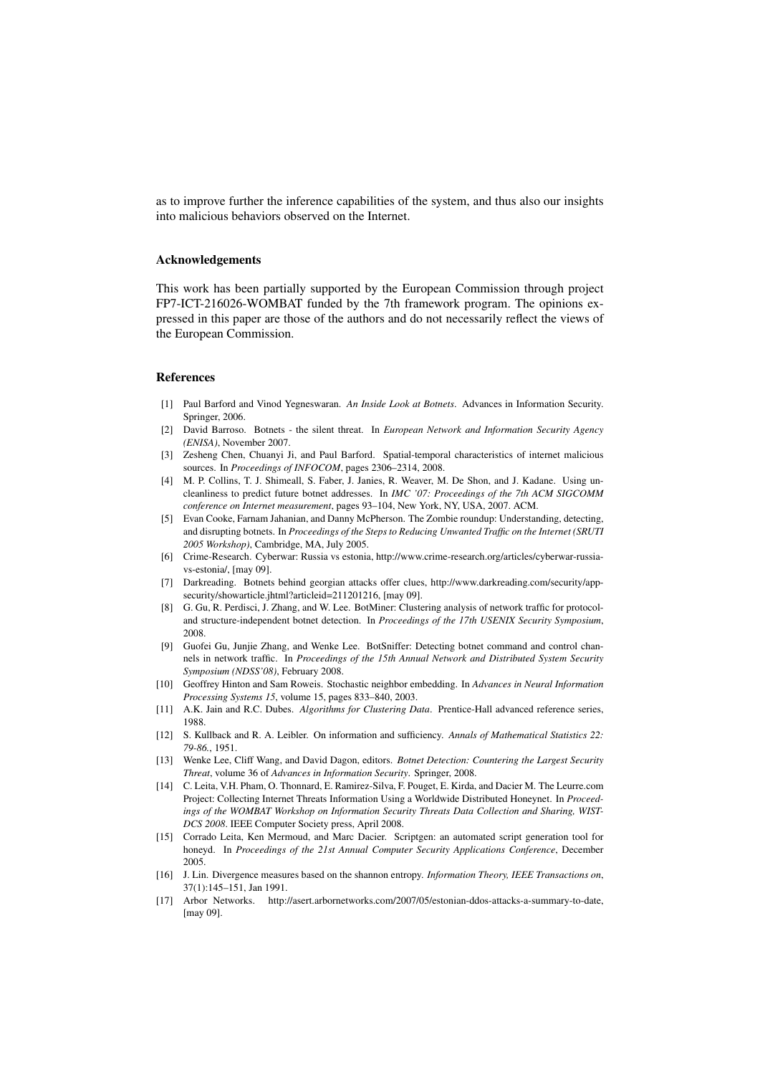as to improve further the inference capabilities of the system, and thus also our insights into malicious behaviors observed on the Internet.

## Acknowledgements

This work has been partially supported by the European Commission through project FP7-ICT-216026-WOMBAT funded by the 7th framework program. The opinions expressed in this paper are those of the authors and do not necessarily reflect the views of the European Commission.

## References

- [1] Paul Barford and Vinod Yegneswaran. *An Inside Look at Botnets*. Advances in Information Security. Springer, 2006.
- [2] David Barroso. Botnets the silent threat. In *European Network and Information Security Agency (ENISA)*, November 2007.
- [3] Zesheng Chen, Chuanyi Ji, and Paul Barford. Spatial-temporal characteristics of internet malicious sources. In *Proceedings of INFOCOM*, pages 2306–2314, 2008.
- [4] M. P. Collins, T. J. Shimeall, S. Faber, J. Janies, R. Weaver, M. De Shon, and J. Kadane. Using uncleanliness to predict future botnet addresses. In *IMC '07: Proceedings of the 7th ACM SIGCOMM conference on Internet measurement*, pages 93–104, New York, NY, USA, 2007. ACM.
- [5] Evan Cooke, Farnam Jahanian, and Danny McPherson. The Zombie roundup: Understanding, detecting, and disrupting botnets. In *Proceedings of the Steps to Reducing Unwanted Traffic on the Internet (SRUTI 2005 Workshop)*, Cambridge, MA, July 2005.
- [6] Crime-Research. Cyberwar: Russia vs estonia, http://www.crime-research.org/articles/cyberwar-russiavs-estonia/, [may 09].
- [7] Darkreading. Botnets behind georgian attacks offer clues, http://www.darkreading.com/security/appsecurity/showarticle.jhtml?articleid=211201216, [may 09].
- [8] G. Gu, R. Perdisci, J. Zhang, and W. Lee. BotMiner: Clustering analysis of network traffic for protocoland structure-independent botnet detection. In *Proceedings of the 17th USENIX Security Symposium*, 2008.
- [9] Guofei Gu, Junjie Zhang, and Wenke Lee. BotSniffer: Detecting botnet command and control channels in network traffic. In *Proceedings of the 15th Annual Network and Distributed System Security Symposium (NDSS'08)*, February 2008.
- [10] Geoffrey Hinton and Sam Roweis. Stochastic neighbor embedding. In *Advances in Neural Information Processing Systems 15*, volume 15, pages 833–840, 2003.
- [11] A.K. Jain and R.C. Dubes. *Algorithms for Clustering Data*. Prentice-Hall advanced reference series, 1988.
- [12] S. Kullback and R. A. Leibler. On information and sufficiency. *Annals of Mathematical Statistics 22: 79-86.*, 1951.
- [13] Wenke Lee, Cliff Wang, and David Dagon, editors. *Botnet Detection: Countering the Largest Security Threat*, volume 36 of *Advances in Information Security*. Springer, 2008.
- [14] C. Leita, V.H. Pham, O. Thonnard, E. Ramirez-Silva, F. Pouget, E. Kirda, and Dacier M. The Leurre.com Project: Collecting Internet Threats Information Using a Worldwide Distributed Honeynet. In *Proceedings of the WOMBAT Workshop on Information Security Threats Data Collection and Sharing, WIST-DCS 2008*. IEEE Computer Society press, April 2008.
- [15] Corrado Leita, Ken Mermoud, and Marc Dacier. Scriptgen: an automated script generation tool for honeyd. In *Proceedings of the 21st Annual Computer Security Applications Conference*, December 2005.
- [16] J. Lin. Divergence measures based on the shannon entropy. *Information Theory, IEEE Transactions on*, 37(1):145–151, Jan 1991.
- [17] Arbor Networks. http://asert.arbornetworks.com/2007/05/estonian-ddos-attacks-a-summary-to-date, [may 09].